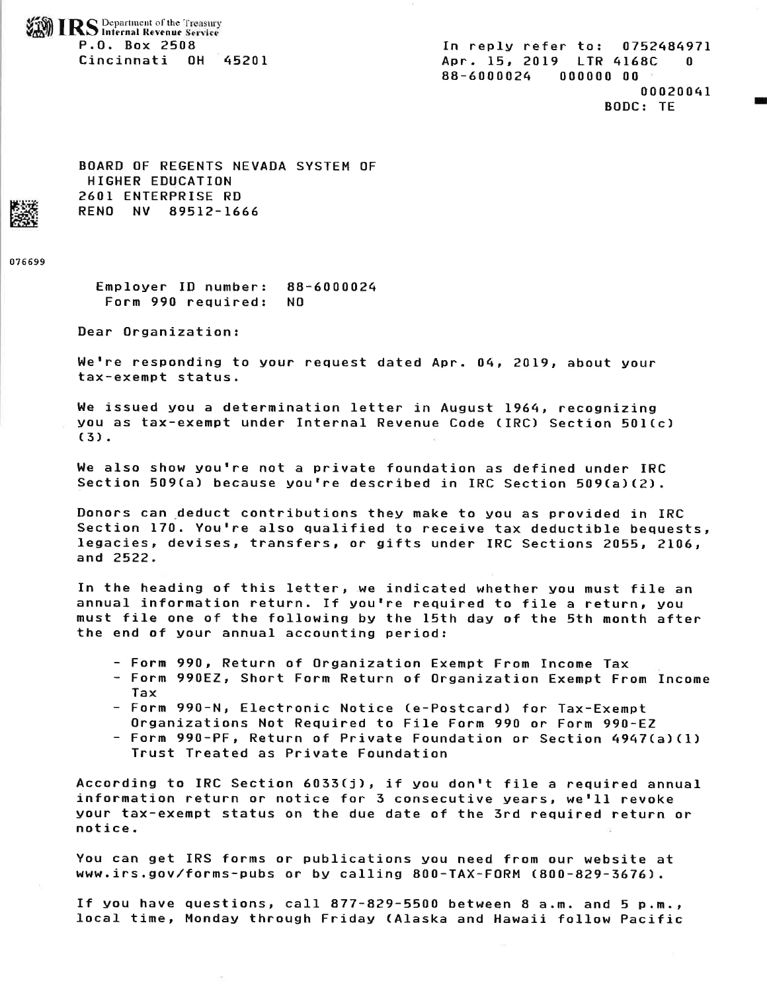*r~***IRS** Department of the Treasury ...

P.O. Box: 2508 In reply refer to: 0752484971 Cincinnati OH 45201 Apr. 15, 2019 LTR 4168C 0 88-6000024 000000 00 00020041 BODC: TE

-

BOARD OF REGENTS NEVADA SYSTEM OF HIGHER EDUCATION 2601 ENTERPRISE RD<br>RENO NV 89512-1666

076699

Employer ID number: 88-6000024 Form 990 required: NO

Dear Organization:

We're responding to your request dated Apr. 04, 2019, about your tax-exempt status.

We issued you a determination letter in August 1964, recognizing you as tax-exempt under Internal Revenue Code CIRC) Section 501Cc)  $(3)$ .

We also show you're not a private foundation as defined under IRC Section 509(a) because you're described in IRC Section 509(a)(2).

Donors can ,deduct contributions they make to you as provided in IRC Section 170. You're also qualified to receive tax deductible bequests, legacies, devises, transfers, or gifts under IRC Sections 2055, 2106, and 2522.

In the heading of this letter, we indicated whether you must file an annual information return. If you're required to file a return, you must file one of the following by the 15th day of the 5th month after the end of your annual accounting period:

- Form 990, Return of Organization Exempt From Income Tax:
- Form 990EZ, Short Form Return of Organization Exempt From Income Tax
- Form 990-N, Electronic Notice (e-Postcard) for Tax-Exempt Organizations Not Required to File Form 990 or Form 990-EZ
- Form 990-PF, Return of Private Foundation or Section 4947(a)(l) Trust Treated as Private Foundation

According to IRC Section 6033Cj), if you don't *file* <sup>a</sup>required annual information return or notice for 3 consecutive years, we'll revoke your tax-exempt status on the due date of the 3rd required return or notice.

You can get IRS forms or publications you need from our website at <www.irs.gov/forms-pubs>or by calling 800-TAX-FORM (800-829-3676).

If you have questions, call 877-829-5500 between 8 a.m. and 5 p.m., local time, Monday through Friday (Alaska and Hawaii follow Pacific